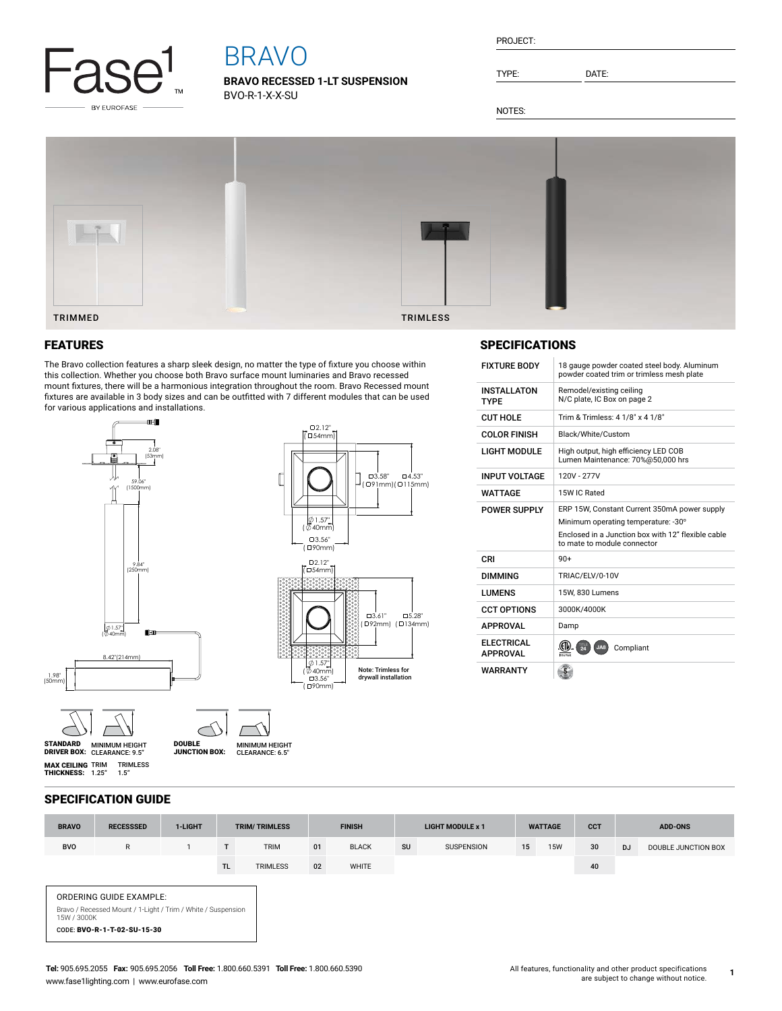

# BRAVO

**BRAVO RECESSED 1-LT SUSPENSION** BVO-R-1-X-X-SU

| PROJECT: |
|----------|
|----------|

TYPE: DATE:

NOTES:



# FEATURES

The Bravo collection features a sharp sleek design, no matter the type of fixture you choose within this collection. Whether you choose both Bravo surface mount luminaries and Bravo recessed mount fixtures, there will be a harmonious integration throughout the room. Bravo Recessed mount fixtures are available in 3 body sizes and can be outfitted with 7 different modules that can be used for various applications and installations.



**MAX CEILING** TRIM<br>**THICKNESS:** 1.25" TRIMLESS 1.5"

MINIMUM HEIGHT CLEARANCE: 9.5" STANDARD DRIVER BOX: MINIMUM HEIGHT MINIMUM HEIGHT<br>CLEARANCE: 6.5" DOUBLE JUNCTION BOX:

# $E[1]$  Fixtle  $E[1]$  and  $E[1]$  and  $E[1]$  and  $E[1]$  and  $E[1]$  and  $E[1]$  and  $E[1]$  and  $E[1]$  and  $E[1]$  and  $E[1]$  and  $E[1]$  and  $E[1]$  and  $E[1]$  and  $E[1]$  and  $E[1]$  and  $E[1]$  and  $E[1]$  and  $E[1]$  and  $E[1]$  an SPECIFICATIONS

| <b>FIATURE BUDY</b>                  | To dauge powder coated steel body. Aluminum<br>powder coated trim or trimless mesh plate                                                                                 |  |  |  |  |  |  |  |
|--------------------------------------|--------------------------------------------------------------------------------------------------------------------------------------------------------------------------|--|--|--|--|--|--|--|
| <b>INSTALLATON</b><br><b>TYPF</b>    | Remodel/existing ceiling<br>N/C plate, IC Box on page 2                                                                                                                  |  |  |  |  |  |  |  |
| <b>CUT HOLE</b>                      | Trim & Trimless: 4 1/8" x 4 1/8"                                                                                                                                         |  |  |  |  |  |  |  |
| <b>COLOR FINISH</b>                  | Black/White/Custom                                                                                                                                                       |  |  |  |  |  |  |  |
| <b>LIGHT MODULE</b>                  | High output, high efficiency LED COB<br>Lumen Maintenance: 70%@50,000 hrs                                                                                                |  |  |  |  |  |  |  |
| <b>INPUT VOLTAGE</b>                 | 120V - 277V                                                                                                                                                              |  |  |  |  |  |  |  |
| WATTAGF                              | 15W IC Rated                                                                                                                                                             |  |  |  |  |  |  |  |
| POWER SUPPLY                         | ERP 15W, Constant Current 350mA power supply<br>Minimum operating temperature: -30°<br>Enclosed in a Junction box with 12" flexible cable<br>to mate to module connector |  |  |  |  |  |  |  |
| CRI                                  | $90+$                                                                                                                                                                    |  |  |  |  |  |  |  |
| <b>DIMMING</b>                       | TRIAC/ELV/0-10V                                                                                                                                                          |  |  |  |  |  |  |  |
| <b>I UMENS</b>                       | 15W. 830 Lumens                                                                                                                                                          |  |  |  |  |  |  |  |
| <b>CCT OPTIONS</b>                   | 3000K/4000K                                                                                                                                                              |  |  |  |  |  |  |  |
| <b>APPROVAL</b>                      | Damp                                                                                                                                                                     |  |  |  |  |  |  |  |
| <b>ELECTRICAL</b><br><b>APPROVAL</b> | $\overline{24}$<br>JA8<br>Compliant                                                                                                                                      |  |  |  |  |  |  |  |
| WARRANTY                             |                                                                                                                                                                          |  |  |  |  |  |  |  |

#### SPECIFICATION GUIDE

| <b>BRAVO</b>                                                                                                                                 | <b>RECESSSED</b> | 1-LIGHT | <b>TRIM/TRIMLESS</b> |                 | <b>FINISH</b> |              | <b>LIGHT MODULE x 1</b> |                   | <b>WATTAGE</b> |            | <b>CCT</b> | <b>ADD-ONS</b> |                     |
|----------------------------------------------------------------------------------------------------------------------------------------------|------------------|---------|----------------------|-----------------|---------------|--------------|-------------------------|-------------------|----------------|------------|------------|----------------|---------------------|
| <b>BVO</b>                                                                                                                                   | $\mathsf{R}$     |         | T                    | <b>TRIM</b>     | 01            | <b>BLACK</b> | <b>SU</b>               | <b>SUSPENSION</b> | 15             | <b>15W</b> | 30         | <b>DJ</b>      | DOUBLE JUNCTION BOX |
|                                                                                                                                              |                  |         | TL.                  | <b>TRIMLESS</b> | 02            | WHITE        |                         |                   |                |            | 40         |                |                     |
| <b>ORDERING GUIDE EXAMPLE:</b><br>Bravo / Recessed Mount / 1-Light / Trim / White / Suspension<br>15W / 3000K<br>CODE: BVO-R-1-T-02-SU-15-30 |                  |         |                      |                 |               |              |                         |                   |                |            |            |                |                     |

Note: Trimless for drywall installation

5.28" ( 134mm) 3.61" ( 92mm)

 $\Box$ 4.53" (ロ91mm)(ロ115mm)  $\Box 3.58$ "

**1**